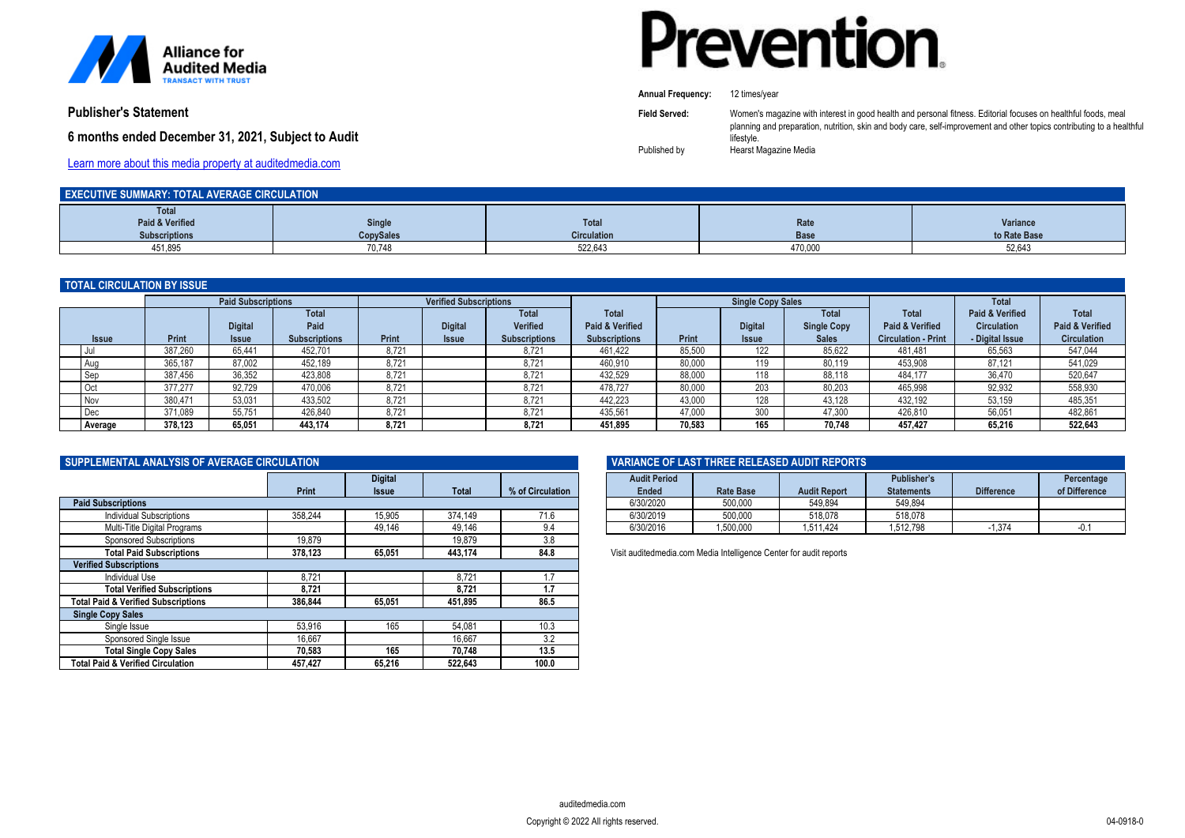

**Publisher's Statement**

**6 months ended December 31, 2021,** *Subject to Audit*

[Learn more about this media property at auditedmedia.com](https://brandview.auditedmedia.com/?memberNumber=3b0NjYp9LfM%3D&linkSource=PDF_PubStatement)

# **Prevention.**

| <b>Annual Frequency:</b> | 12 times/vear                                                                                                                                                                                                                                          |
|--------------------------|--------------------------------------------------------------------------------------------------------------------------------------------------------------------------------------------------------------------------------------------------------|
| <b>Field Served:</b>     | Women's magazine with interest in good health and personal fitness. Editorial focuses on healthful foods, meal<br>planning and preparation, nutrition, skin and body care, self-improvement and other topics contributing to a healthful<br>lifestyle. |
| Published by             | Hearst Magazine Media                                                                                                                                                                                                                                  |

| <b>EXECUTIVE SUMMARY: TOTAL AVERAGE CIRCULATION</b> |                  |                    |             |              |  |  |  |
|-----------------------------------------------------|------------------|--------------------|-------------|--------------|--|--|--|
| <b>Total</b>                                        |                  |                    |             |              |  |  |  |
| Paid & Verified                                     | <b>Single</b>    | Total              | Rate        | Variance     |  |  |  |
| <b>Subscriptions</b>                                | <b>CopySales</b> | <b>Circulation</b> | <b>Base</b> | to Rate Base |  |  |  |
| 451.895                                             | 70.748           | 522.643            | 470,000     | 52.643       |  |  |  |

# **TOTAL CIRCULATION BY ISSUE**

|              | <b>POTAL UROULATION DT 1000L</b> |                           |                      |       |                               |                      |                      |        |                          |                    |                            |                    |                    |
|--------------|----------------------------------|---------------------------|----------------------|-------|-------------------------------|----------------------|----------------------|--------|--------------------------|--------------------|----------------------------|--------------------|--------------------|
|              |                                  | <b>Paid Subscriptions</b> |                      |       | <b>Verified Subscriptions</b> |                      |                      |        | <b>Single Copy Sales</b> |                    |                            | <b>Total</b>       |                    |
|              |                                  |                           | <b>Total</b>         |       |                               | <b>Total</b>         | <b>Total</b>         |        |                          | <b>Total</b>       | <b>Total</b>               | Paid & Verified    | <b>Total</b>       |
|              |                                  | <b>Digital</b>            | Paid                 |       | <b>Digital</b>                | <b>Verified</b>      | Paid & Verified      |        | <b>Digital</b>           | <b>Single Copy</b> | Paid & Verified            | <b>Circulation</b> | Paid & Verified    |
| <b>Issue</b> | Print                            | <b>Issue</b>              | <b>Subscriptions</b> | Print | <b>Issue</b>                  | <b>Subscriptions</b> | <b>Subscriptions</b> | Print  | <b>Issue</b>             | <b>Sales</b>       | <b>Circulation - Print</b> | - Digital Issue    | <b>Circulation</b> |
|              | 387,260                          | 65.441                    | 452,701              | 8.721 |                               | 8.721                | 461,422              | 85,500 | 122                      | 85,622             | 481,481                    | 65,563             | 547,044            |
|              | 365,187                          | 87,002                    | 452,189              | 8.721 |                               | 8,721                | 460,910              | 80,000 | 119                      | 80,119             | 453,908                    | 87,121             | 541,029            |
| , Sep        | 387,456                          | 36,352                    | 423,808              | 8.721 |                               | 8.721                | 432,529              | 88,000 | 118                      | 88,118             | 484.177                    | 36,470             | 520,647            |
| Oct          | 377.277                          | 92.729                    | 470,006              | 8.721 |                               | 8.721                | 478.727              | 80,000 | 203                      | 80,203             | 465,998                    | 92.932             | 558,930            |
| Nov          | 380,471                          | 53,031                    | 433,502              | 8.721 |                               | 8.721                | 442.223              | 43,000 | 128                      | 43,128             | 432,192                    | 53,159             | 485,351            |
| Dec          | 371.089                          | 55.751                    | 426.840              | 8.721 |                               | 8.721                | 435.561              | 47,000 | 300                      | 47.300             | 426,810                    | 56,051             | 482,861            |
| Average      | 378.123                          | 65.051                    | 443.174              | 8.721 |                               | 8.721                | 451.895              | 70.583 | 165                      | 70,748             | 457.427                    | 65.216             | 522,643            |

| SUPPLEMENTAL ANALYSIS OF AVERAGE CIRCULATION   |         |                |              |                  |  |  |
|------------------------------------------------|---------|----------------|--------------|------------------|--|--|
|                                                |         | <b>Digital</b> |              |                  |  |  |
|                                                | Print   | <b>Issue</b>   | <b>Total</b> | % of Circulation |  |  |
| <b>Paid Subscriptions</b>                      |         |                |              |                  |  |  |
| <b>Individual Subscriptions</b>                | 358.244 | 15.905         | 374.149      | 71.6             |  |  |
| Multi-Title Digital Programs                   |         | 49.146         | 49.146       | 9.4              |  |  |
| Sponsored Subscriptions                        | 19.879  |                | 19.879       | 3.8              |  |  |
| <b>Total Paid Subscriptions</b>                | 378,123 | 65.051         | 443.174      | 84.8             |  |  |
| <b>Verified Subscriptions</b>                  |         |                |              |                  |  |  |
| <b>Individual Use</b>                          | 8,721   |                | 8.721        | 1.7              |  |  |
| <b>Total Verified Subscriptions</b>            | 8,721   |                | 8,721        | 1.7              |  |  |
| <b>Total Paid &amp; Verified Subscriptions</b> | 386.844 | 65.051         | 451.895      | 86.5             |  |  |
| <b>Single Copy Sales</b>                       |         |                |              |                  |  |  |
| Single Issue                                   | 53,916  | 165            | 54,081       | 10.3             |  |  |
| Sponsored Single Issue                         | 16.667  |                | 16.667       | 3.2              |  |  |
| <b>Total Single Copy Sales</b>                 | 70,583  | 165            | 70.748       | 13.5             |  |  |
| <b>Total Paid &amp; Verified Circulation</b>   | 457.427 | 65.216         | 522.643      | 100.0            |  |  |

| VARIANCE OF LAST THREE RELEASED AUDIT REPORTS |           |                     |                   |                   |               |  |  |
|-----------------------------------------------|-----------|---------------------|-------------------|-------------------|---------------|--|--|
| <b>Audit Period</b>                           |           |                     | Publisher's       |                   | Percentage    |  |  |
| Ended                                         | Rate Base | <b>Audit Report</b> | <b>Statements</b> | <b>Difference</b> | of Difference |  |  |
| 6/30/2020                                     | 500.000   | 549.894             | 549.894           |                   |               |  |  |
| 6/30/2019                                     | 500.000   | 518.078             | 518.078           |                   |               |  |  |
| 6/30/2016                                     | .500.000  | 1.511.424           | 1.512.798         | $-1.374$          | $-0.1$        |  |  |

Visit auditedmedia.com Media Intelligence Center for audit reports

*Copyright © 2022 All rights reserved. 04-0918-0*